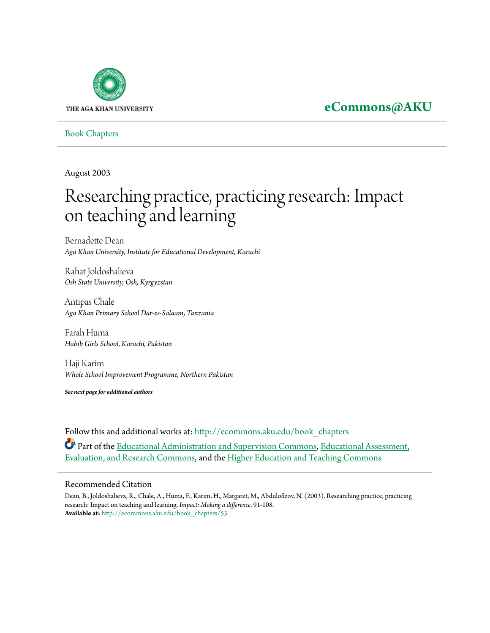

# **[eCommons@AKU](http://ecommons.aku.edu?utm_source=ecommons.aku.edu%2Fbook_chapters%2F53&utm_medium=PDF&utm_campaign=PDFCoverPages)**

[Book Chapters](http://ecommons.aku.edu/book_chapters?utm_source=ecommons.aku.edu%2Fbook_chapters%2F53&utm_medium=PDF&utm_campaign=PDFCoverPages)

August 2003

# Researching practice, practicing research: Impact on teaching and learning

Bernadette Dean *Aga Khan University, Institute for Educational Development, Karachi*

Rahat Joldoshalieva *Osh State University, Osh, Kyrgyzstan*

Antipas Chale *Aga Khan Primary School Dar-es-Salaam, Tanzania*

Farah Huma *Habib Girls School, Karachi, Pakistan*

Haji Karim *Whole School Improvement Programme, Northern Pakistan*

*See next page for additional authors*

Follow this and additional works at: [http://ecommons.aku.edu/book\\_chapters](http://ecommons.aku.edu/book_chapters?utm_source=ecommons.aku.edu%2Fbook_chapters%2F53&utm_medium=PDF&utm_campaign=PDFCoverPages) Part of the [Educational Administration and Supervision Commons,](http://network.bepress.com/hgg/discipline/787?utm_source=ecommons.aku.edu%2Fbook_chapters%2F53&utm_medium=PDF&utm_campaign=PDFCoverPages) [Educational Assessment,](http://network.bepress.com/hgg/discipline/796?utm_source=ecommons.aku.edu%2Fbook_chapters%2F53&utm_medium=PDF&utm_campaign=PDFCoverPages) [Evaluation, and Research Commons,](http://network.bepress.com/hgg/discipline/796?utm_source=ecommons.aku.edu%2Fbook_chapters%2F53&utm_medium=PDF&utm_campaign=PDFCoverPages) and the [Higher Education and Teaching Commons](http://network.bepress.com/hgg/discipline/806?utm_source=ecommons.aku.edu%2Fbook_chapters%2F53&utm_medium=PDF&utm_campaign=PDFCoverPages)

#### Recommended Citation

Dean, B., Joldoshalieva, R., Chale, A., Huma, F., Karim, H., Margaret, M., Abdulofizov, N. (2003). Researching practice, practicing research: Impact on teaching and learning. *Impact: Making a difference*, 91-108. **Available at:** [http://ecommons.aku.edu/book\\_chapters/53](http://ecommons.aku.edu/book_chapters/53)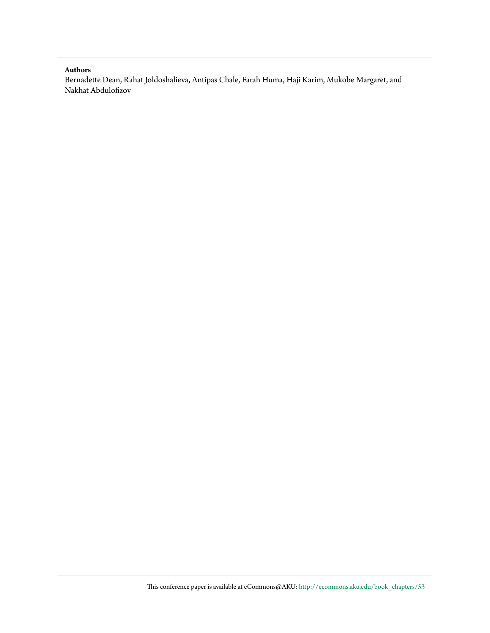#### **Authors**

Bernadette Dean, Rahat Joldoshalieva, Antipas Chale, Farah Huma, Haji Karim, Mukobe Margaret, and Nakhat Abdulofizov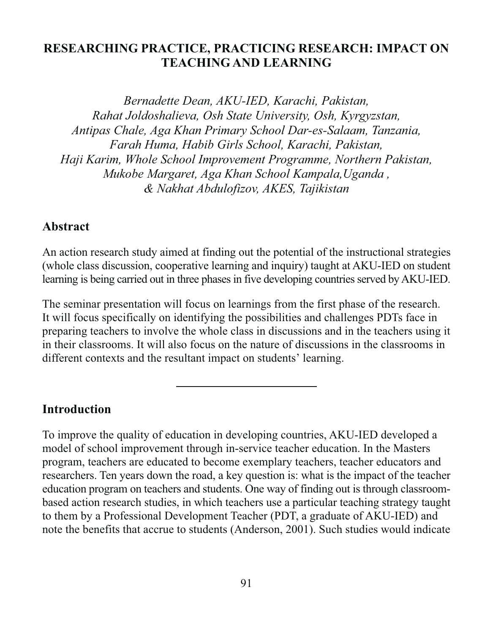#### **RESEARCHING PRACTICE, PRACTICING RESEARCH: IMPACT ON TEACHING AND LEARNING**

Bernadette Dean, AKU-IED, Karachi, Pakistan, Rahat Joldoshalieva, Osh State University, Osh, Kyrgyzstan, Antipas Chale, Aga Khan Primary School Dar-es-Salaam, Tanzania, Farah Huma, Habib Girls School, Karachi, Pakistan, Haji Karim, Whole School Improvement Programme, Northern Pakistan, Mukobe Margaret, Aga Khan School Kampala, Uganda, & Nakhat Abdulofizov, AKES, Tajikistan

#### Abstract

An action research study aimed at finding out the potential of the instructional strategies (whole class discussion, cooperative learning and inquiry) taught at AKU-IED on student learning is being carried out in three phases in five developing countries served by AKU-IED.

The seminar presentation will focus on learnings from the first phase of the research. It will focus specifically on identifying the possibilities and challenges PDTs face in preparing teachers to involve the whole class in discussions and in the teachers using it in their classrooms. It will also focus on the nature of discussions in the classrooms in different contexts and the resultant impact on students' learning.

#### **Introduction**

To improve the quality of education in developing countries, AKU-IED developed a model of school improvement through in-service teacher education. In the Masters program, teachers are educated to become exemplary teachers, teacher educators and researchers. Ten years down the road, a key question is: what is the impact of the teacher education program on teachers and students. One way of finding out is through classroombased action research studies, in which teachers use a particular teaching strategy taught to them by a Professional Development Teacher (PDT, a graduate of AKU-IED) and note the benefits that accrue to students (Anderson, 2001). Such studies would indicate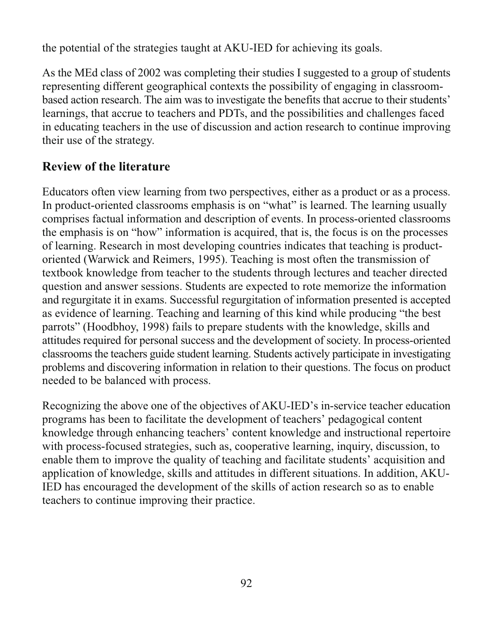the potential of the strategies taught at AKU-IED for achieving its goals.

As the MEd class of 2002 was completing their studies I suggested to a group of students representing different geographical contexts the possibility of engaging in classroombased action research. The aim was to investigate the benefits that accrue to their students' learnings, that accrue to teachers and PDTs, and the possibilities and challenges faced in educating teachers in the use of discussion and action research to continue improving their use of the strategy.

## **Review of the literature**

Educators often view learning from two perspectives, either as a product or as a process. In product-oriented classrooms emphasis is on "what" is learned. The learning usually comprises factual information and description of events. In process-oriented classrooms the emphasis is on "how" information is acquired, that is, the focus is on the processes of learning. Research in most developing countries indicates that teaching is productoriented (Warwick and Reimers, 1995). Teaching is most often the transmission of textbook knowledge from teacher to the students through lectures and teacher directed question and answer sessions. Students are expected to rote memorize the information and regurgitate it in exams. Successful regurgitation of information presented is accepted as evidence of learning. Teaching and learning of this kind while producing "the best" parrots" (Hoodbhoy, 1998) fails to prepare students with the knowledge, skills and attitudes required for personal success and the development of society. In process-oriented classrooms the teachers guide student learning. Students actively participate in investigating problems and discovering information in relation to their questions. The focus on product needed to be balanced with process.

Recognizing the above one of the objectives of AKU-IED's in-service teacher education programs has been to facilitate the development of teachers' pedagogical content knowledge through enhancing teachers' content knowledge and instructional repertoire with process-focused strategies, such as, cooperative learning, inquiry, discussion, to enable them to improve the quality of teaching and facilitate students' acquisition and application of knowledge, skills and attitudes in different situations. In addition, AKU-IED has encouraged the development of the skills of action research so as to enable teachers to continue improving their practice.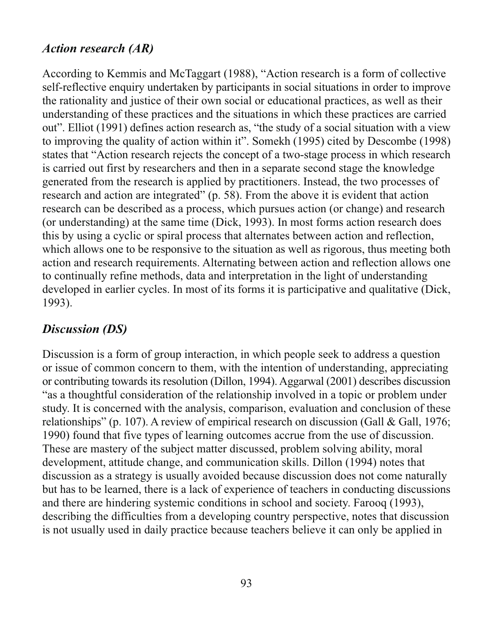#### **Action research (AR)**

According to Kemmis and McTaggart (1988), "Action research is a form of collective self-reflective enquiry undertaken by participants in social situations in order to improve the rationality and justice of their own social or educational practices, as well as their understanding of these practices and the situations in which these practices are carried out". Elliot (1991) defines action research as, "the study of a social situation with a view to improving the quality of action within it". Somekh (1995) cited by Descombe (1998) states that "Action research rejects the concept of a two-stage process in which research is carried out first by researchers and then in a separate second stage the knowledge generated from the research is applied by practitioners. Instead, the two processes of research and action are integrated" (p. 58). From the above it is evident that action research can be described as a process, which pursues action (or change) and research (or understanding) at the same time (Dick, 1993). In most forms action research does this by using a cyclic or spiral process that alternates between action and reflection, which allows one to be responsive to the situation as well as rigorous, thus meeting both action and research requirements. Alternating between action and reflection allows one to continually refine methods, data and interpretation in the light of understanding developed in earlier cycles. In most of its forms it is participative and qualitative (Dick, 1993).

## **Discussion (DS)**

Discussion is a form of group interaction, in which people seek to address a question or issue of common concern to them, with the intention of understanding, appreciating or contributing towards its resolution (Dillon, 1994). Aggarwal (2001) describes discussion "as a thoughtful consideration of the relationship involved in a topic or problem under study. It is concerned with the analysis, comparison, evaluation and conclusion of these relationships" (p. 107). A review of empirical research on discussion (Gall & Gall, 1976; 1990) found that five types of learning outcomes accrue from the use of discussion. These are mastery of the subject matter discussed, problem solving ability, moral development, attitude change, and communication skills. Dillon (1994) notes that discussion as a strategy is usually avoided because discussion does not come naturally but has to be learned, there is a lack of experience of teachers in conducting discussions and there are hindering systemic conditions in school and society. Farooq (1993), describing the difficulties from a developing country perspective, notes that discussion is not usually used in daily practice because teachers believe it can only be applied in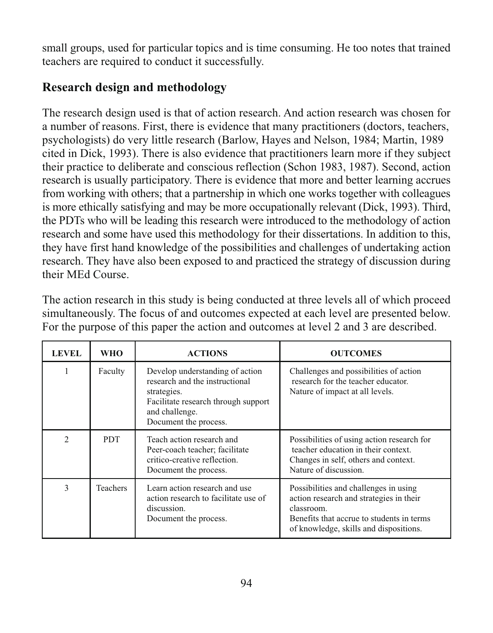small groups, used for particular topics and is time consuming. He too notes that trained teachers are required to conduct it successfully.

# **Research design and methodology**

The research design used is that of action research. And action research was chosen for a number of reasons. First, there is evidence that many practitioners (doctors, teachers, psychologists) do very little research (Barlow, Hayes and Nelson, 1984; Martin, 1989 cited in Dick, 1993). There is also evidence that practitioners learn more if they subject their practice to deliberate and conscious reflection (Schon 1983, 1987). Second, action research is usually participatory. There is evidence that more and better learning accrues from working with others; that a partnership in which one works together with colleagues is more ethically satisfying and may be more occupationally relevant (Dick, 1993). Third, the PDTs who will be leading this research were introduced to the methodology of action research and some have used this methodology for their dissertations. In addition to this, they have first hand knowledge of the possibilities and challenges of undertaking action research. They have also been exposed to and practiced the strategy of discussion during their MEd Course.

The action research in this study is being conducted at three levels all of which proceed simultaneously. The focus of and outcomes expected at each level are presented below. For the purpose of this paper the action and outcomes at level 2 and 3 are described.

| <b>LEVEL</b>   | <b>WHO</b>      | <b>ACTIONS</b>                                                                                                                                                     | <b>OUTCOMES</b>                                                                                                                                                                       |
|----------------|-----------------|--------------------------------------------------------------------------------------------------------------------------------------------------------------------|---------------------------------------------------------------------------------------------------------------------------------------------------------------------------------------|
|                | Faculty         | Develop understanding of action<br>research and the instructional<br>strategies.<br>Facilitate research through support<br>and challenge.<br>Document the process. | Challenges and possibilities of action<br>research for the teacher educator.<br>Nature of impact at all levels.                                                                       |
| $\overline{2}$ | <b>PDT</b>      | Teach action research and<br>Peer-coach teacher; facilitate<br>critico-creative reflection.<br>Document the process.                                               | Possibilities of using action research for<br>teacher education in their context.<br>Changes in self, others and context.<br>Nature of discussion.                                    |
| 3              | <b>Teachers</b> | Learn action research and use<br>action research to facilitate use of<br>discussion.<br>Document the process.                                                      | Possibilities and challenges in using<br>action research and strategies in their<br>classroom.<br>Benefits that accrue to students in terms<br>of knowledge, skills and dispositions. |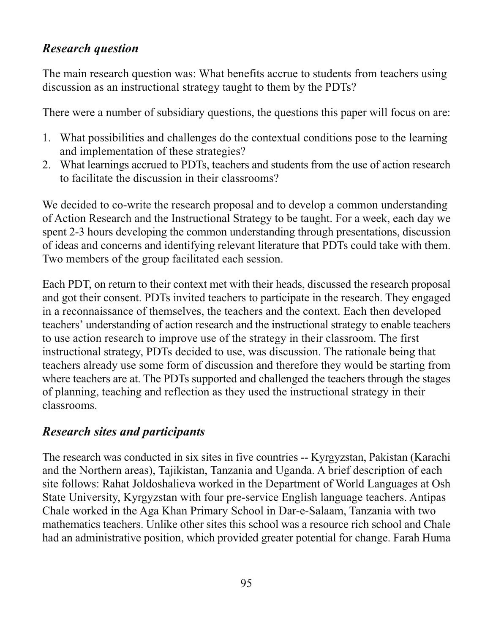# **Research question**

The main research question was: What benefits accrue to students from teachers using discussion as an instructional strategy taught to them by the PDTs?

There were a number of subsidiary questions, the questions this paper will focus on are:

- 1. What possibilities and challenges do the contextual conditions pose to the learning and implementation of these strategies?
- 2. What learnings accrued to PDTs, teachers and students from the use of action research to facilitate the discussion in their classrooms?

We decided to co-write the research proposal and to develop a common understanding of Action Research and the Instructional Strategy to be taught. For a week, each day we spent 2-3 hours developing the common understanding through presentations, discussion of ideas and concerns and identifying relevant literature that PDTs could take with them. Two members of the group facilitated each session.

Each PDT, on return to their context met with their heads, discussed the research proposal and got their consent. PDTs invited teachers to participate in the research. They engaged in a reconnaissance of themselves, the teachers and the context. Each then developed teachers' understanding of action research and the instructional strategy to enable teachers to use action research to improve use of the strategy in their classroom. The first instructional strategy, PDTs decided to use, was discussion. The rationale being that teachers already use some form of discussion and therefore they would be starting from where teachers are at. The PDTs supported and challenged the teachers through the stages of planning, teaching and reflection as they used the instructional strategy in their classrooms.

# **Research sites and participants**

The research was conducted in six sites in five countries -- Kyrgyzstan, Pakistan (Karachi and the Northern areas), Tajikistan, Tanzania and Uganda. A brief description of each site follows: Rahat Joldoshalieva worked in the Department of World Languages at Osh State University, Kyrgyzstan with four pre-service English language teachers. Antipas Chale worked in the Aga Khan Primary School in Dar-e-Salaam, Tanzania with two mathematics teachers. Unlike other sites this school was a resource rich school and Chale had an administrative position, which provided greater potential for change. Farah Huma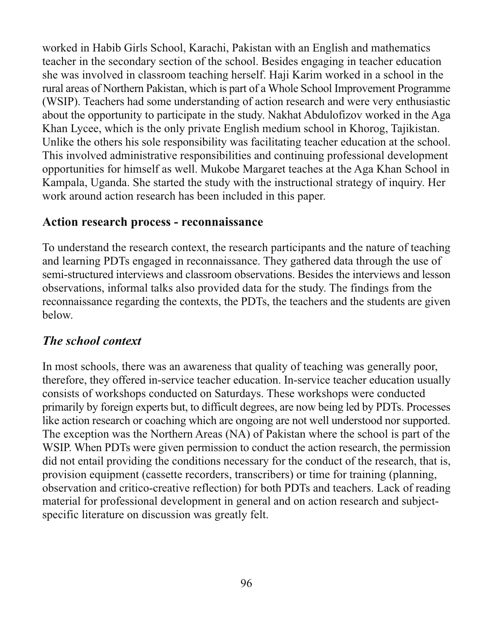worked in Habib Girls School, Karachi, Pakistan with an English and mathematics teacher in the secondary section of the school. Besides engaging in teacher education she was involved in classroom teaching herself. Haji Karim worked in a school in the rural areas of Northern Pakistan, which is part of a Whole School Improvement Programme (WSIP). Teachers had some understanding of action research and were very enthusiastic about the opportunity to participate in the study. Nakhat Abdulofizov worked in the Aga Khan Lycee, which is the only private English medium school in Khorog, Tajikistan. Unlike the others his sole responsibility was facilitating teacher education at the school. This involved administrative responsibilities and continuing professional development opportunities for himself as well. Mukobe Margaret teaches at the Aga Khan School in Kampala, Uganda. She started the study with the instructional strategy of inquiry. Her work around action research has been included in this paper.

#### Action research process - reconnaissance

To understand the research context, the research participants and the nature of teaching and learning PDTs engaged in reconnaissance. They gathered data through the use of semi-structured interviews and classroom observations. Besides the interviews and lesson observations, informal talks also provided data for the study. The findings from the reconnaissance regarding the contexts, the PDTs, the teachers and the students are given helow.

#### **The school context**

In most schools, there was an awareness that quality of teaching was generally poor, therefore, they offered in-service teacher education. In-service teacher education usually consists of workshops conducted on Saturdays. These workshops were conducted primarily by foreign experts but, to difficult degrees, are now being led by PDTs. Processes like action research or coaching which are ongoing are not well understood nor supported. The exception was the Northern Areas (NA) of Pakistan where the school is part of the WSIP. When PDTs were given permission to conduct the action research, the permission did not entail providing the conditions necessary for the conduct of the research, that is, provision equipment (cassette recorders, transcribers) or time for training (planning, observation and critico-creative reflection) for both PDTs and teachers. Lack of reading material for professional development in general and on action research and subjectspecific literature on discussion was greatly felt.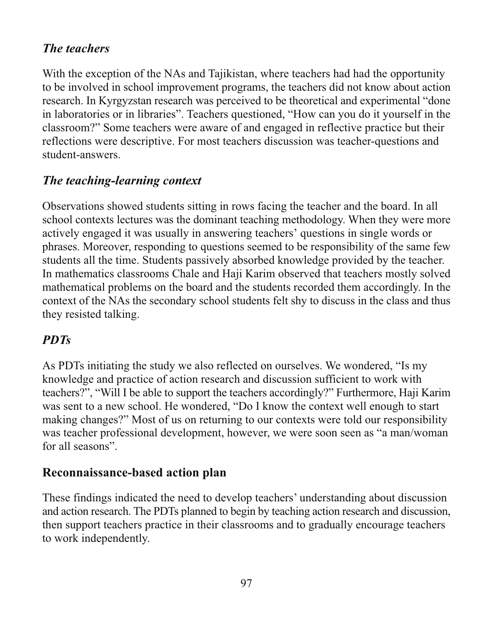# The teachers

With the exception of the NAs and Tajikistan, where teachers had had the opportunity to be involved in school improvement programs, the teachers did not know about action research. In Kyrgyzstan research was perceived to be theoretical and experimental "done" in laboratories or in libraries". Teachers questioned, "How can you do it yourself in the classroom?" Some teachers were aware of and engaged in reflective practice but their reflections were descriptive. For most teachers discussion was teacher-questions and student-answers

# The teaching-learning context

Observations showed students sitting in rows facing the teacher and the board. In all school contexts lectures was the dominant teaching methodology. When they were more actively engaged it was usually in answering teachers' questions in single words or phrases. Moreover, responding to questions seemed to be responsibility of the same few students all the time. Students passively absorbed knowledge provided by the teacher. In mathematics classrooms Chale and Haji Karim observed that teachers mostly solved mathematical problems on the board and the students recorded them accordingly. In the context of the NAs the secondary school students felt shy to discuss in the class and thus they resisted talking.

# **PDTs**

As PDTs initiating the study we also reflected on ourselves. We wondered, "Is my knowledge and practice of action research and discussion sufficient to work with teachers?", "Will I be able to support the teachers accordingly?" Furthermore, Haji Karim was sent to a new school. He wondered, "Do I know the context well enough to start making changes?" Most of us on returning to our contexts were told our responsibility was teacher professional development, however, we were soon seen as "a man/woman for all seasons".

## Reconnaissance-based action plan

These findings indicated the need to develop teachers' understanding about discussion and action research. The PDTs planned to begin by teaching action research and discussion, then support teachers practice in their classrooms and to gradually encourage teachers to work independently.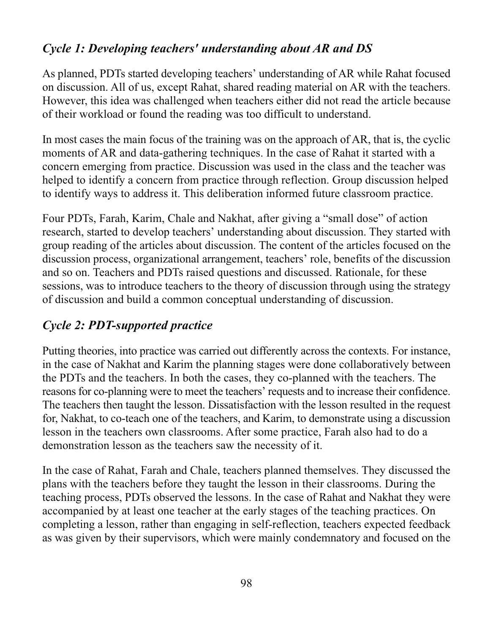# Cycle 1: Developing teachers' understanding about AR and DS

As planned, PDTs started developing teachers' understanding of AR while Rahat focused on discussion. All of us, except Rahat, shared reading material on AR with the teachers. However, this idea was challenged when teachers either did not read the article because of their workload or found the reading was too difficult to understand.

In most cases the main focus of the training was on the approach of AR, that is, the cyclic moments of AR and data-gathering techniques. In the case of Rahat it started with a concern emerging from practice. Discussion was used in the class and the teacher was helped to identify a concern from practice through reflection. Group discussion helped to identify ways to address it. This deliberation informed future classroom practice.

Four PDTs, Farah, Karim, Chale and Nakhat, after giving a "small dose" of action research, started to develop teachers' understanding about discussion. They started with group reading of the articles about discussion. The content of the articles focused on the discussion process, organizational arrangement, teachers' role, benefits of the discussion and so on. Teachers and PDTs raised questions and discussed. Rationale, for these sessions, was to introduce teachers to the theory of discussion through using the strategy of discussion and build a common conceptual understanding of discussion.

# Cycle 2: PDT-supported practice

Putting theories, into practice was carried out differently across the contexts. For instance, in the case of Nakhat and Karim the planning stages were done collaboratively between the PDTs and the teachers. In both the cases, they co-planned with the teachers. The reasons for co-planning were to meet the teachers' requests and to increase their confidence. The teachers then taught the lesson. Dissatisfaction with the lesson resulted in the request for, Nakhat, to co-teach one of the teachers, and Karim, to demonstrate using a discussion lesson in the teachers own classrooms. After some practice, Farah also had to do a demonstration lesson as the teachers saw the necessity of it.

In the case of Rahat, Farah and Chale, teachers planned themselves. They discussed the plans with the teachers before they taught the lesson in their classrooms. During the teaching process, PDTs observed the lessons. In the case of Rahat and Nakhat they were accompanied by at least one teacher at the early stages of the teaching practices. On completing a lesson, rather than engaging in self-reflection, teachers expected feedback as was given by their supervisors, which were mainly condemnatory and focused on the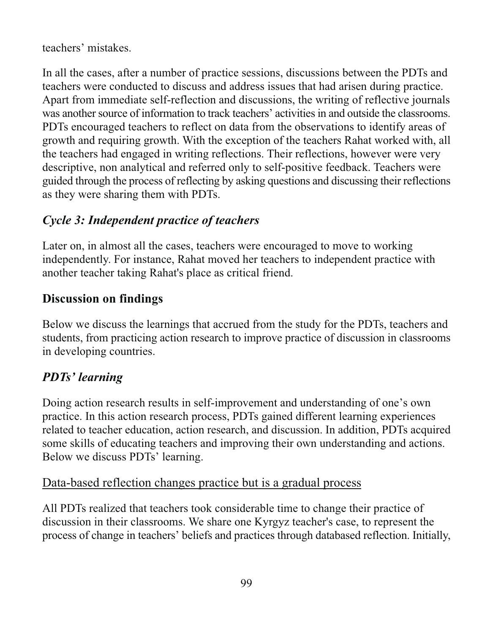teachers' mistakes

In all the cases, after a number of practice sessions, discussions between the PDTs and teachers were conducted to discuss and address issues that had arisen during practice. Apart from immediate self-reflection and discussions, the writing of reflective journals was another source of information to track teachers' activities in and outside the classrooms. PDTs encouraged teachers to reflect on data from the observations to identify areas of growth and requiring growth. With the exception of the teachers Rahat worked with, all the teachers had engaged in writing reflections. Their reflections, however were very descriptive, non analytical and referred only to self-positive feedback. Teachers were guided through the process of reflecting by asking questions and discussing their reflections as they were sharing them with PDTs.

# Cycle 3: Independent practice of teachers

Later on, in almost all the cases, teachers were encouraged to move to working independently. For instance, Rahat moved her teachers to independent practice with another teacher taking Rahat's place as critical friend.

# **Discussion on findings**

Below we discuss the learnings that accrued from the study for the PDTs, teachers and students, from practicing action research to improve practice of discussion in classrooms in developing countries.

# **PDTs' learning**

Doing action research results in self-improvement and understanding of one's own practice. In this action research process, PDTs gained different learning experiences related to teacher education, action research, and discussion. In addition, PDTs acquired some skills of educating teachers and improving their own understanding and actions. Below we discuss PDTs' learning.

# Data-based reflection changes practice but is a gradual process

All PDTs realized that teachers took considerable time to change their practice of discussion in their classrooms. We share one Kyrgyz teacher's case, to represent the process of change in teachers' beliefs and practices through databased reflection. Initially,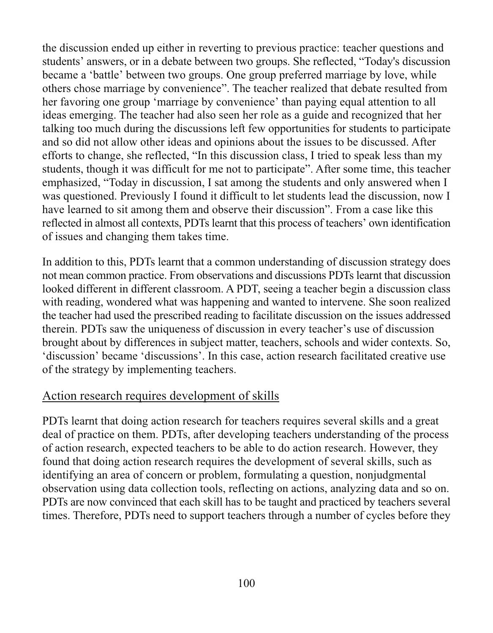the discussion ended up either in reverting to previous practice: teacher questions and students' answers, or in a debate between two groups. She reflected, "Today's discussion became a 'battle' between two groups. One group preferred marriage by love, while others chose marriage by convenience". The teacher realized that debate resulted from her favoring one group 'marriage by convenience' than paying equal attention to all ideas emerging. The teacher had also seen her role as a guide and recognized that her talking too much during the discussions left few opportunities for students to participate and so did not allow other ideas and opinions about the issues to be discussed. After efforts to change, she reflected, "In this discussion class, I tried to speak less than my students, though it was difficult for me not to participate". After some time, this teacher emphasized, "Today in discussion, I sat among the students and only answered when I was questioned. Previously I found it difficult to let students lead the discussion, now I have learned to sit among them and observe their discussion". From a case like this reflected in almost all contexts, PDTs learnt that this process of teachers' own identification of issues and changing them takes time.

In addition to this, PDTs learnt that a common understanding of discussion strategy does not mean common practice. From observations and discussions PDTs learnt that discussion looked different in different classroom. A PDT, seeing a teacher begin a discussion class with reading, wondered what was happening and wanted to intervene. She soon realized the teacher had used the prescribed reading to facilitate discussion on the issues addressed therein. PDTs saw the uniqueness of discussion in every teacher's use of discussion brought about by differences in subject matter, teachers, schools and wider contexts. So, 'discussion' became 'discussions'. In this case, action research facilitated creative use of the strategy by implementing teachers.

#### Action research requires development of skills

PDTs learnt that doing action research for teachers requires several skills and a great deal of practice on them. PDTs, after developing teachers understanding of the process of action research, expected teachers to be able to do action research. However, they found that doing action research requires the development of several skills, such as identifying an area of concern or problem, formulating a question, nonjudgmental observation using data collection tools, reflecting on actions, analyzing data and so on. PDTs are now convinced that each skill has to be taught and practiced by teachers several times. Therefore, PDTs need to support teachers through a number of cycles before they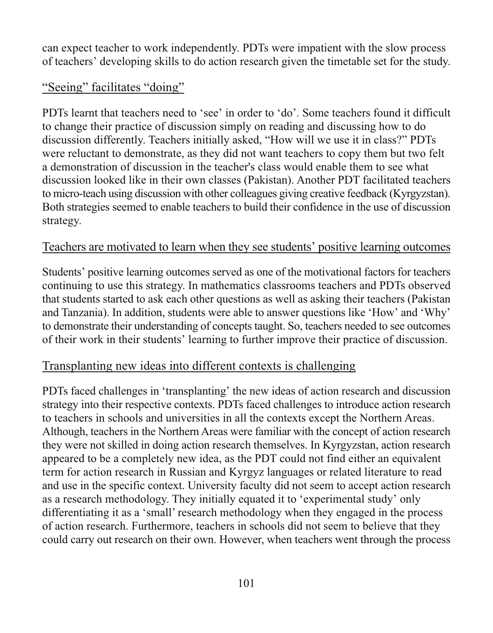can expect teacher to work independently. PDTs were impatient with the slow process of teachers' developing skills to do action research given the timetable set for the study.

## "Seeing" facilitates "doing"

PDTs learnt that teachers need to 'see' in order to 'do'. Some teachers found it difficult to change their practice of discussion simply on reading and discussing how to do discussion differently. Teachers initially asked, "How will we use it in class?" PDTs were reluctant to demonstrate, as they did not want teachers to copy them but two felt a demonstration of discussion in the teacher's class would enable them to see what discussion looked like in their own classes (Pakistan). Another PDT facilitated teachers to micro-teach using discussion with other colleagues giving creative feedback (Kyrgyzstan). Both strategies seemed to enable teachers to build their confidence in the use of discussion strategy.

## Teachers are motivated to learn when they see students' positive learning outcomes

Students' positive learning outcomes served as one of the motivational factors for teachers continuing to use this strategy. In mathematics classrooms teachers and PDTs observed that students started to ask each other questions as well as asking their teachers (Pakistan and Tanzania). In addition, students were able to answer questions like 'How' and 'Why' to demonstrate their understanding of concepts taught. So, teachers needed to see outcomes of their work in their students' learning to further improve their practice of discussion.

# Transplanting new ideas into different contexts is challenging

PDTs faced challenges in 'transplanting' the new ideas of action research and discussion strategy into their respective contexts. PDTs faced challenges to introduce action research to teachers in schools and universities in all the contexts except the Northern Areas. Although, teachers in the Northern Areas were familiar with the concept of action research they were not skilled in doing action research themselves. In Kyrgyzstan, action research appeared to be a completely new idea, as the PDT could not find either an equivalent term for action research in Russian and Kyrgyz languages or related literature to read and use in the specific context. University faculty did not seem to accept action research as a research methodology. They initially equated it to 'experimental study' only differentiating it as a 'small' research methodology when they engaged in the process of action research. Furthermore, teachers in schools did not seem to believe that they could carry out research on their own. However, when teachers went through the process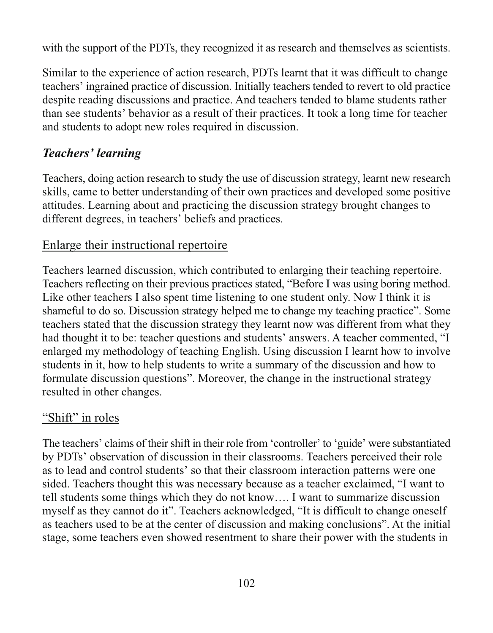with the support of the PDTs, they recognized it as research and themselves as scientists.

Similar to the experience of action research, PDTs learnt that it was difficult to change teachers' ingrained practice of discussion. Initially teachers tended to revert to old practice despite reading discussions and practice. And teachers tended to blame students rather than see students' behavior as a result of their practices. It took a long time for teacher and students to adopt new roles required in discussion.

# **Teachers' learning**

Teachers, doing action research to study the use of discussion strategy, learnt new research skills, came to better understanding of their own practices and developed some positive attitudes. Learning about and practicing the discussion strategy brought changes to different degrees, in teachers' beliefs and practices.

# Enlarge their instructional repertoire

Teachers learned discussion, which contributed to enlarging their teaching repertoire. Teachers reflecting on their previous practices stated, "Before I was using boring method. Like other teachers I also spent time listening to one student only. Now I think it is shameful to do so. Discussion strategy helped me to change my teaching practice". Some teachers stated that the discussion strategy they learnt now was different from what they had thought it to be: teacher questions and students' answers. A teacher commented, "I enlarged my methodology of teaching English. Using discussion I learnt how to involve students in it, how to help students to write a summary of the discussion and how to formulate discussion questions". Moreover, the change in the instructional strategy resulted in other changes.

# "Shift" in roles

The teachers' claims of their shift in their role from 'controller' to 'guide' were substantiated by PDTs' observation of discussion in their classrooms. Teachers perceived their role as to lead and control students' so that their classroom interaction patterns were one sided. Teachers thought this was necessary because as a teacher exclaimed, "I want to tell students some things which they do not know.... I want to summarize discussion myself as they cannot do it". Teachers acknowledged, "It is difficult to change oneself as teachers used to be at the center of discussion and making conclusions". At the initial stage, some teachers even showed resentment to share their power with the students in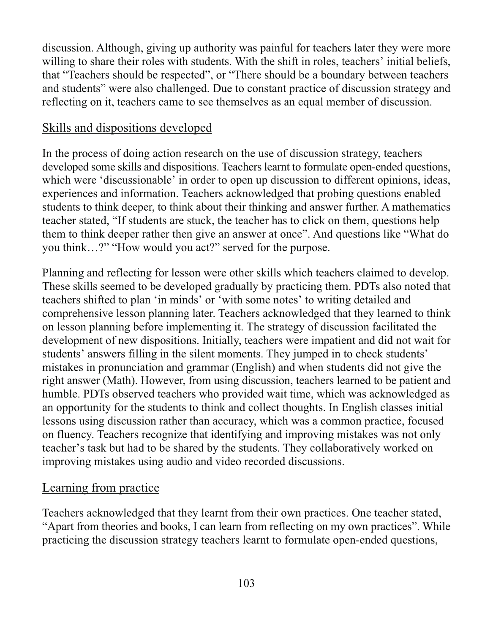discussion. Although, giving up authority was painful for teachers later they were more willing to share their roles with students. With the shift in roles, teachers' initial beliefs, that "Teachers should be respected", or "There should be a boundary between teachers and students" were also challenged. Due to constant practice of discussion strategy and reflecting on it, teachers came to see themselves as an equal member of discussion.

#### Skills and dispositions developed

In the process of doing action research on the use of discussion strategy, teachers developed some skills and dispositions. Teachers learnt to formulate open-ended questions, which were 'discussionable' in order to open up discussion to different opinions, ideas, experiences and information. Teachers acknowledged that probing questions enabled students to think deeper, to think about their thinking and answer further. A mathematics teacher stated, "If students are stuck, the teacher has to click on them, questions help them to think deeper rather then give an answer at once". And questions like "What do you think...?" "How would you act?" served for the purpose.

Planning and reflecting for lesson were other skills which teachers claimed to develop. These skills seemed to be developed gradually by practicing them. PDTs also noted that teachers shifted to plan 'in minds' or 'with some notes' to writing detailed and comprehensive lesson planning later. Teachers acknowledged that they learned to think on lesson planning before implementing it. The strategy of discussion facilitated the development of new dispositions. Initially, teachers were impatient and did not wait for students' answers filling in the silent moments. They jumped in to check students' mistakes in pronunciation and grammar (English) and when students did not give the right answer (Math). However, from using discussion, teachers learned to be patient and humble. PDTs observed teachers who provided wait time, which was acknowledged as an opportunity for the students to think and collect thoughts. In English classes initial lessons using discussion rather than accuracy, which was a common practice, focused on fluency. Teachers recognize that identifying and improving mistakes was not only teacher's task but had to be shared by the students. They collaboratively worked on improving mistakes using audio and video recorded discussions.

#### Learning from practice

Teachers acknowledged that they learnt from their own practices. One teacher stated, "Apart from theories and books, I can learn from reflecting on my own practices". While practicing the discussion strategy teachers learnt to formulate open-ended questions,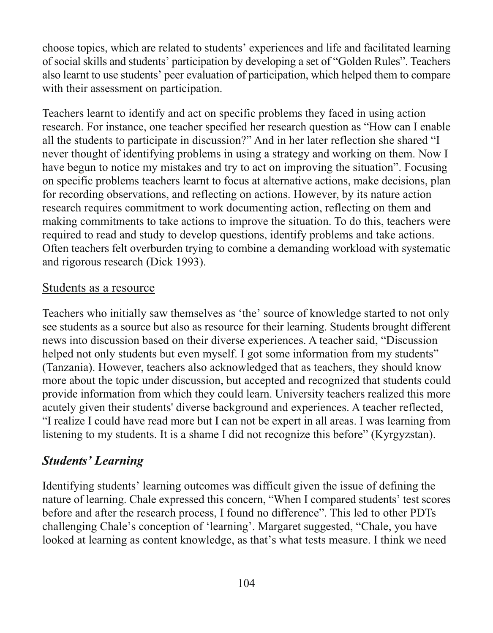choose topics, which are related to students' experiences and life and facilitated learning of social skills and students' participation by developing a set of "Golden Rules". Teachers also learnt to use students' peer evaluation of participation, which helped them to compare with their assessment on participation.

Teachers learnt to identify and act on specific problems they faced in using action research. For instance, one teacher specified her research question as "How can I enable all the students to participate in discussion?" And in her later reflection she shared "I never thought of identifying problems in using a strategy and working on them. Now I have begun to notice my mistakes and try to act on improving the situation". Focusing on specific problems teachers learnt to focus at alternative actions, make decisions, plan for recording observations, and reflecting on actions. However, by its nature action research requires commitment to work documenting action, reflecting on them and making commitments to take actions to improve the situation. To do this, teachers were required to read and study to develop questions, identify problems and take actions. Often teachers felt overburden trying to combine a demanding workload with systematic and rigorous research (Dick 1993).

#### Students as a resource

Teachers who initially saw themselves as 'the' source of knowledge started to not only see students as a source but also as resource for their learning. Students brought different news into discussion based on their diverse experiences. A teacher said, "Discussion" helped not only students but even myself. I got some information from my students" (Tanzania). However, teachers also acknowledged that as teachers, they should know more about the topic under discussion, but accepted and recognized that students could provide information from which they could learn. University teachers realized this more acutely given their students' diverse background and experiences. A teacher reflected, "I realize I could have read more but I can not be expert in all areas. I was learning from listening to my students. It is a shame I did not recognize this before" (Kyrgyzstan).

#### **Students' Learning**

Identifying students' learning outcomes was difficult given the issue of defining the nature of learning. Chale expressed this concern, "When I compared students' test scores before and after the research process, I found no difference". This led to other PDTs challenging Chale's conception of 'learning'. Margaret suggested, "Chale, you have looked at learning as content knowledge, as that's what tests measure. I think we need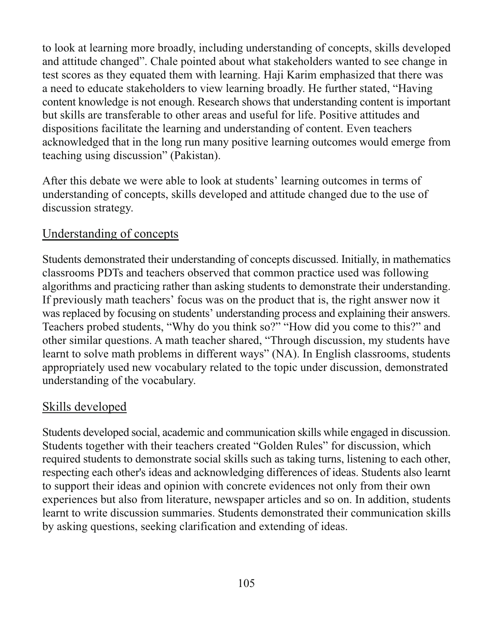to look at learning more broadly, including understanding of concepts, skills developed and attitude changed". Chale pointed about what stakeholders wanted to see change in test scores as they equated them with learning. Haji Karim emphasized that there was a need to educate stakeholders to view learning broadly. He further stated, "Having content knowledge is not enough. Research shows that understanding content is important but skills are transferable to other areas and useful for life. Positive attitudes and dispositions facilitate the learning and understanding of content. Even teachers acknowledged that in the long run many positive learning outcomes would emerge from teaching using discussion" (Pakistan).

After this debate we were able to look at students' learning outcomes in terms of understanding of concepts, skills developed and attitude changed due to the use of discussion strategy.

## Understanding of concepts

Students demonstrated their understanding of concepts discussed. Initially, in mathematics classrooms PDTs and teachers observed that common practice used was following algorithms and practicing rather than asking students to demonstrate their understanding. If previously math teachers' focus was on the product that is, the right answer now it was replaced by focusing on students' understanding process and explaining their answers. Teachers probed students, "Why do you think so?" "How did you come to this?" and other similar questions. A math teacher shared, "Through discussion, my students have learnt to solve math problems in different ways" (NA). In English classrooms, students appropriately used new vocabulary related to the topic under discussion, demonstrated understanding of the vocabulary.

## Skills developed

Students developed social, academic and communication skills while engaged in discussion. Students together with their teachers created "Golden Rules" for discussion, which required students to demonstrate social skills such as taking turns, listening to each other, respecting each other's ideas and acknowledging differences of ideas. Students also learnt to support their ideas and opinion with concrete evidences not only from their own experiences but also from literature, newspaper articles and so on. In addition, students learnt to write discussion summaries. Students demonstrated their communication skills by asking questions, seeking clarification and extending of ideas.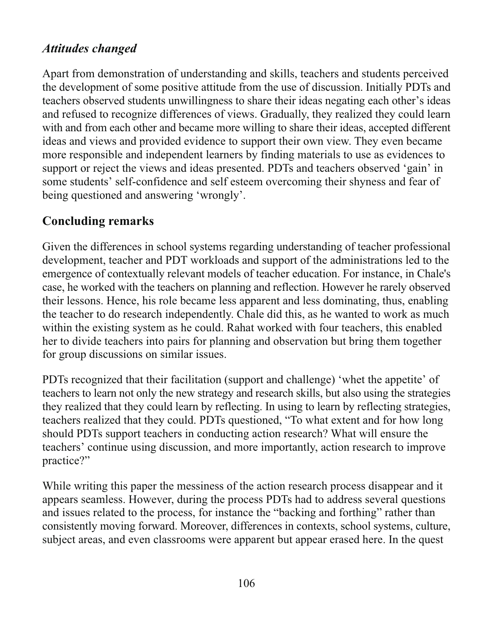## **Attitudes changed**

Apart from demonstration of understanding and skills, teachers and students perceived the development of some positive attitude from the use of discussion. Initially PDTs and teachers observed students unwillingness to share their ideas negating each other's ideas and refused to recognize differences of views. Gradually, they realized they could learn with and from each other and became more willing to share their ideas, accepted different ideas and views and provided evidence to support their own view. They even became more responsible and independent learners by finding materials to use as evidences to support or reject the views and ideas presented. PDTs and teachers observed 'gain' in some students' self-confidence and self esteem overcoming their shyness and fear of being questioned and answering 'wrongly'.

## **Concluding remarks**

Given the differences in school systems regarding understanding of teacher professional development, teacher and PDT workloads and support of the administrations led to the emergence of contextually relevant models of teacher education. For instance, in Chale's case, he worked with the teachers on planning and reflection. However he rarely observed their lessons. Hence, his role became less apparent and less dominating, thus, enabling the teacher to do research independently. Chale did this, as he wanted to work as much within the existing system as he could. Rahat worked with four teachers, this enabled her to divide teachers into pairs for planning and observation but bring them together for group discussions on similar issues.

PDTs recognized that their facilitation (support and challenge) 'whet the appetite' of teachers to learn not only the new strategy and research skills, but also using the strategies they realized that they could learn by reflecting. In using to learn by reflecting strategies, teachers realized that they could. PDTs questioned, "To what extent and for how long should PDTs support teachers in conducting action research? What will ensure the teachers' continue using discussion, and more importantly, action research to improve practice?"

While writing this paper the messiness of the action research process disappear and it appears seamless. However, during the process PDTs had to address several questions and issues related to the process, for instance the "backing and forthing" rather than consistently moving forward. Moreover, differences in contexts, school systems, culture, subject areas, and even classrooms were apparent but appear erased here. In the quest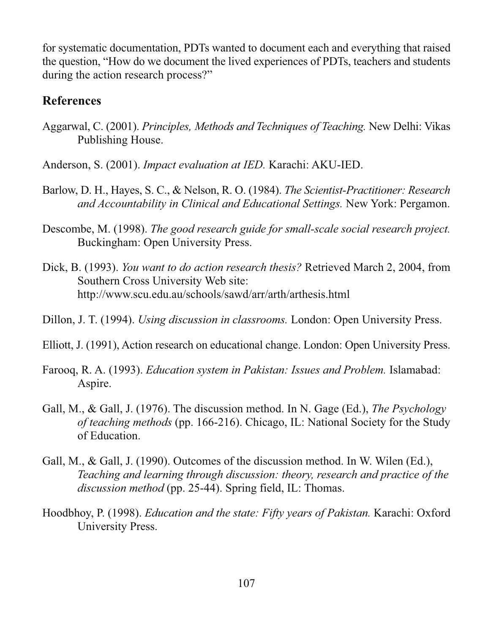for systematic documentation, PDTs wanted to document each and everything that raised the question, "How do we document the lived experiences of PDTs, teachers and students during the action research process?"

#### **References**

- Aggarwal, C. (2001). Principles, Methods and Techniques of Teaching. New Delhi: Vikas Publishing House.
- Anderson, S. (2001). *Impact evaluation at IED*. Karachi: AKU-IED.
- Barlow, D. H., Hayes, S. C., & Nelson, R. O. (1984). The Scientist-Practitioner: Research and Accountability in Clinical and Educational Settings. New York: Pergamon.
- Descombe, M. (1998). The good research guide for small-scale social research project. Buckingham: Open University Press.
- Dick, B. (1993). You want to do action research thesis? Retrieved March 2, 2004, from Southern Cross University Web site: http://www.scu.edu.au/schools/sawd/arr/arth/arthesis.html
- Dillon, J. T. (1994). Using discussion in classrooms. London: Open University Press.
- Elliott, J. (1991), Action research on educational change. London: Open University Press.
- Farooq, R. A. (1993). *Education system in Pakistan: Issues and Problem.* Islamabad: Aspire.
- Gall, M., & Gall, J. (1976). The discussion method. In N. Gage (Ed.), The Psychology of teaching methods (pp. 166-216). Chicago, IL: National Society for the Study of Education.
- Gall, M., & Gall, J. (1990). Outcomes of the discussion method. In W. Wilen (Ed.). Teaching and learning through discussion: theory, research and practice of the discussion method (pp. 25-44). Spring field, IL: Thomas.
- Hoodbhoy, P. (1998). *Education and the state: Fifty years of Pakistan*. Karachi: Oxford University Press.